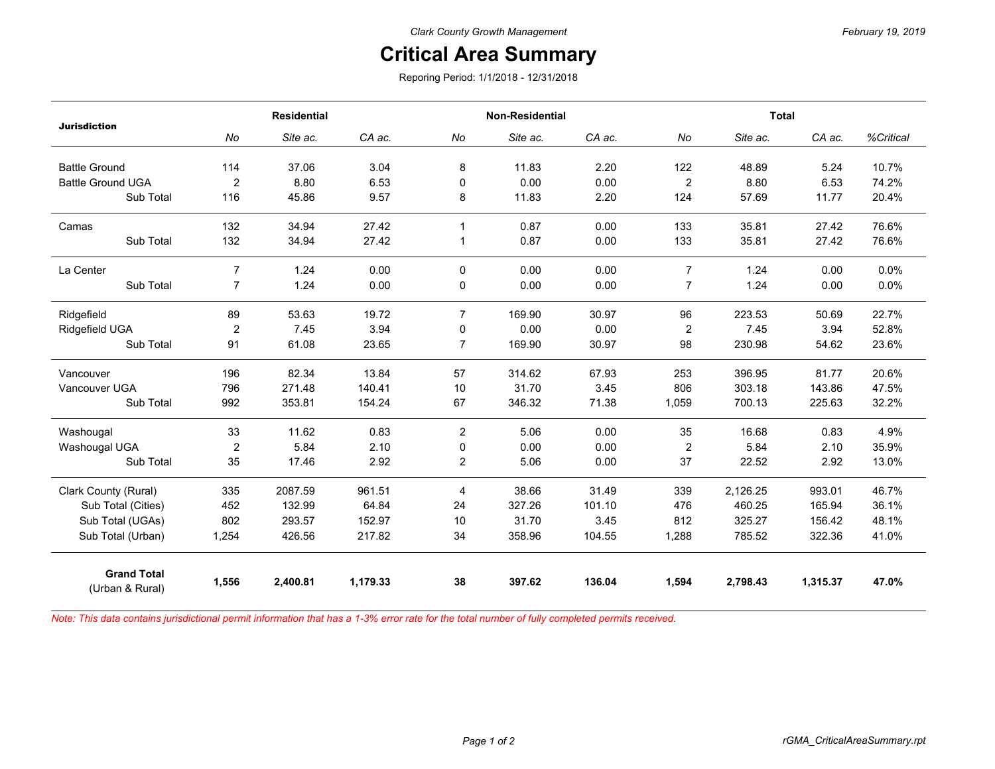## **Critical Area Summary**

Reporing Period: 1/1/2018 - 12/31/2018

| <b>Jurisdiction</b>                   | <b>Residential</b> |          |          | <b>Non-Residential</b> |          |        | <b>Total</b>     |          |          |           |
|---------------------------------------|--------------------|----------|----------|------------------------|----------|--------|------------------|----------|----------|-----------|
|                                       | No                 | Site ac. | CA ac.   | No                     | Site ac. | CA ac. | No               | Site ac. | CA ac.   | %Critical |
| <b>Battle Ground</b>                  | 114                | 37.06    | 3.04     | 8                      | 11.83    | 2.20   | 122              | 48.89    | 5.24     | 10.7%     |
| <b>Battle Ground UGA</b>              | $\overline{2}$     | 8.80     | 6.53     | 0                      | 0.00     | 0.00   | $\boldsymbol{2}$ | 8.80     | 6.53     | 74.2%     |
| Sub Total                             | 116                | 45.86    | 9.57     | 8                      | 11.83    | 2.20   | 124              | 57.69    | 11.77    | 20.4%     |
| Camas                                 | 132                | 34.94    | 27.42    | $\mathbf{1}$           | 0.87     | 0.00   | 133              | 35.81    | 27.42    | 76.6%     |
| Sub Total                             | 132                | 34.94    | 27.42    | 1                      | 0.87     | 0.00   | 133              | 35.81    | 27.42    | 76.6%     |
| La Center                             | $\overline{7}$     | 1.24     | 0.00     | 0                      | 0.00     | 0.00   | $\overline{7}$   | 1.24     | 0.00     | 0.0%      |
| Sub Total                             | $\overline{7}$     | 1.24     | 0.00     | 0                      | 0.00     | 0.00   | 7                | 1.24     | 0.00     | 0.0%      |
| Ridgefield                            | 89                 | 53.63    | 19.72    | $\overline{7}$         | 169.90   | 30.97  | 96               | 223.53   | 50.69    | 22.7%     |
| Ridgefield UGA                        | $\overline{2}$     | 7.45     | 3.94     | 0                      | 0.00     | 0.00   | $\overline{2}$   | 7.45     | 3.94     | 52.8%     |
| Sub Total                             | 91                 | 61.08    | 23.65    | $\overline{7}$         | 169.90   | 30.97  | 98               | 230.98   | 54.62    | 23.6%     |
| Vancouver                             | 196                | 82.34    | 13.84    | 57                     | 314.62   | 67.93  | 253              | 396.95   | 81.77    | 20.6%     |
| Vancouver UGA                         | 796                | 271.48   | 140.41   | 10                     | 31.70    | 3.45   | 806              | 303.18   | 143.86   | 47.5%     |
| Sub Total                             | 992                | 353.81   | 154.24   | 67                     | 346.32   | 71.38  | 1,059            | 700.13   | 225.63   | 32.2%     |
| Washougal                             | 33                 | 11.62    | 0.83     | $\overline{2}$         | 5.06     | 0.00   | 35               | 16.68    | 0.83     | 4.9%      |
| Washougal UGA                         | $\overline{2}$     | 5.84     | 2.10     | 0                      | 0.00     | 0.00   | $\overline{2}$   | 5.84     | 2.10     | 35.9%     |
| Sub Total                             | 35                 | 17.46    | 2.92     | $\mathbf{2}$           | 5.06     | 0.00   | 37               | 22.52    | 2.92     | 13.0%     |
| Clark County (Rural)                  | 335                | 2087.59  | 961.51   | 4                      | 38.66    | 31.49  | 339              | 2,126.25 | 993.01   | 46.7%     |
| Sub Total (Cities)                    | 452                | 132.99   | 64.84    | 24                     | 327.26   | 101.10 | 476              | 460.25   | 165.94   | 36.1%     |
| Sub Total (UGAs)                      | 802                | 293.57   | 152.97   | 10                     | 31.70    | 3.45   | 812              | 325.27   | 156.42   | 48.1%     |
| Sub Total (Urban)                     | 1,254              | 426.56   | 217.82   | 34                     | 358.96   | 104.55 | 1,288            | 785.52   | 322.36   | 41.0%     |
| <b>Grand Total</b><br>(Urban & Rural) | 1,556              | 2,400.81 | 1,179.33 | 38                     | 397.62   | 136.04 | 1,594            | 2,798.43 | 1,315.37 | 47.0%     |

*Note: This data contains jurisdictional permit information that has a 1-3% error rate for the total number of fully completed permits received.*